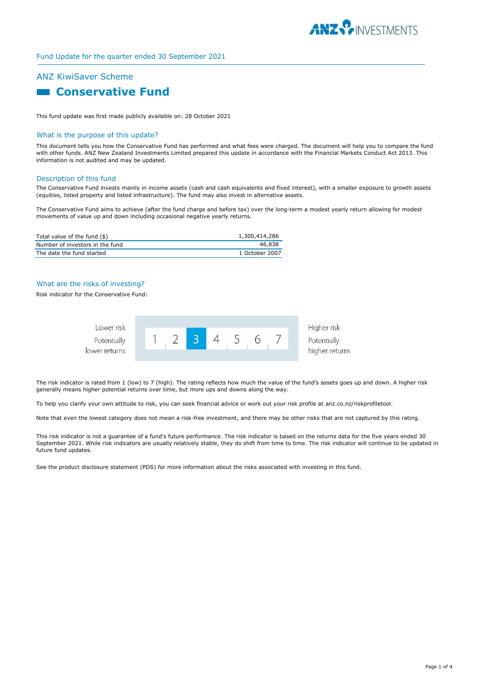

# Fund Update for the quarter ended 30 September 2021

# ANZ KiwiSaver Scheme

# **Conservative Fund**

This fund update was first made publicly available on: 28 October 2021

#### What is the purpose of this update?

This document tells you how the Conservative Fund has performed and what fees were charged. The document will help you to compare the fund with other funds. ANZ New Zealand Investments Limited prepared this update in accordance with the Financial Markets Conduct Act 2013. This information is not audited and may be updated.

#### Description of this fund

The Conservative Fund invests mainly in income assets (cash and cash equivalents and fixed interest), with a smaller exposure to growth assets (equities, listed property and listed infrastructure). The fund may also invest in alternative assets.

The Conservative Fund aims to achieve (after the fund charge and before tax) over the long-term a modest yearly return allowing for modest movements of value up and down including occasional negative yearly returns.

| Total value of the fund $(\$)$  | 1,300,414,286  |
|---------------------------------|----------------|
| Number of investors in the fund | 46,838         |
| The date the fund started       | 1 October 2007 |

#### What are the risks of investing?

Risk indicator for the Conservative Fund:



The risk indicator is rated from 1 (low) to 7 (high). The rating reflects how much the value of the fund's assets goes up and down. A higher risk generally means higher potential returns over time, but more ups and downs along the way.

To help you clarify your own attitude to risk, you can seek financial advice or work out your risk profile at anz.co.nz/riskprofiletool.

Note that even the lowest category does not mean a risk-free investment, and there may be other risks that are not captured by this rating.

This risk indicator is not a guarantee of a fund's future performance. The risk indicator is based on the returns data for the five years ended 30 September 2021. While risk indicators are usually relatively stable, they do shift from time to time. The risk indicator will continue to be updated in future fund updates.

See the product disclosure statement (PDS) for more information about the risks associated with investing in this fund.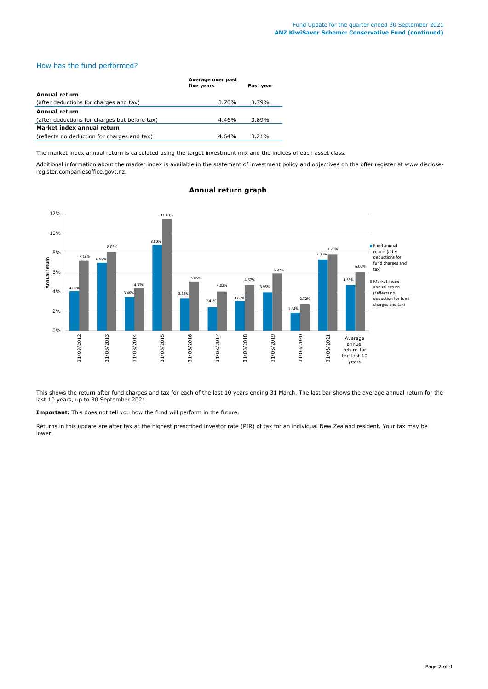### How has the fund performed?

|                                               | Average over past<br>five years | Past year |
|-----------------------------------------------|---------------------------------|-----------|
| Annual return                                 |                                 |           |
| (after deductions for charges and tax)        | 3.70%                           | 3.79%     |
| Annual return                                 |                                 |           |
| (after deductions for charges but before tax) | 4.46%                           | 3.89%     |
| Market index annual return                    |                                 |           |
| (reflects no deduction for charges and tax)   | 4.64%                           | 3.21%     |

The market index annual return is calculated using the target investment mix and the indices of each asset class.

Additional information about the market index is available in the statement of investment policy and objectives on the offer register at www.discloseregister.companiesoffice.govt.nz.



#### **Annual return graph**

This shows the return after fund charges and tax for each of the last 10 years ending 31 March. The last bar shows the average annual return for the last 10 years, up to 30 September 2021.

**Important:** This does not tell you how the fund will perform in the future.

Returns in this update are after tax at the highest prescribed investor rate (PIR) of tax for an individual New Zealand resident. Your tax may be lower.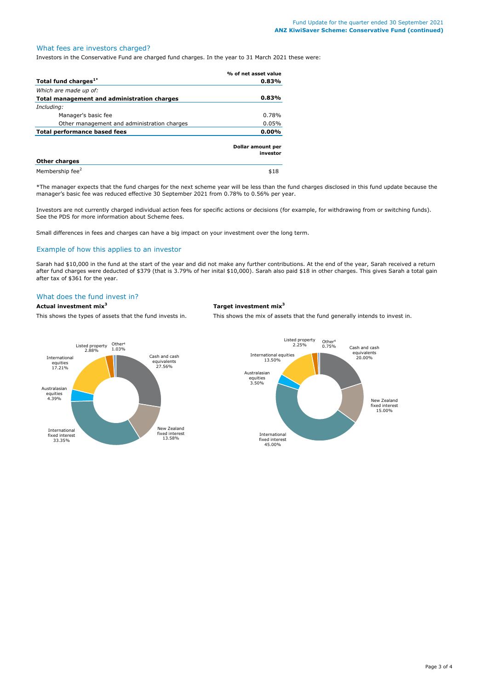# What fees are investors charged?

Investors in the Conservative Fund are charged fund charges. In the year to 31 March 2021 these were:

|                                             | % of net asset value          |
|---------------------------------------------|-------------------------------|
| Total fund charges <sup>1*</sup>            | $0.83\%$                      |
| Which are made up of:                       |                               |
| Total management and administration charges | $0.83\%$                      |
| Including:                                  |                               |
| Manager's basic fee                         | 0.78%                         |
| Other management and administration charges | 0.05%                         |
| Total performance based fees                | $0.00\%$                      |
|                                             | Dollar amount per<br>investor |
| <b>Other charges</b>                        |                               |
| Membership fee <sup>2</sup>                 | \$18                          |

\*The manager expects that the fund charges for the next scheme year will be less than the fund charges disclosed in this fund update because the manager's basic fee was reduced effective 30 September 2021 from 0.78% to 0.56% per year.

Investors are not currently charged individual action fees for specific actions or decisions (for example, for withdrawing from or switching funds). See the PDS for more information about Scheme fees.

Small differences in fees and charges can have a big impact on your investment over the long term.

### Example of how this applies to an investor

Sarah had \$10,000 in the fund at the start of the year and did not make any further contributions. At the end of the year, Sarah received a return after fund charges were deducted of \$379 (that is 3.79% of her inital \$10,000). Sarah also paid \$18 in other charges. This gives Sarah a total gain after tax of \$361 for the year.

# What does the fund invest in?

### **Actual investment mix<sup>3</sup> Target investment mix<sup>3</sup>**

This shows the types of assets that the fund invests in. This shows the mix of assets that the fund generally intends to invest in.